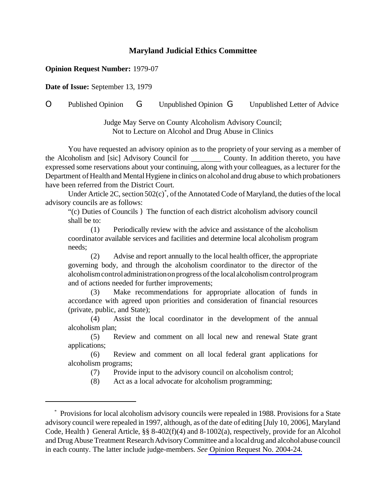## **Maryland Judicial Ethics Committee**

## **Opinion Request Number:** 1979-07

**Date of Issue:** September 13, 1979

O Published Opinion G Unpublished Opinion G Unpublished Letter of Advice

Judge May Serve on County Alcoholism Advisory Council; Not to Lecture on Alcohol and Drug Abuse in Clinics

You have requested an advisory opinion as to the propriety of your serving as a member of the Alcoholism and [sic] Advisory Council for County. In addition thereto, you have expressed some reservations about your continuing, along with your colleagues, as a lecturer for the Department of Health and Mental Hygiene in clinics on alcohol and drug abuse to which probationers have been referred from the District Court.

Under Article 2C, section  $502(c)$ <sup>\*</sup>, of the Annotated Code of Maryland, the duties of the local advisory councils are as follows:

"(c) Duties of Councils ) The function of each district alcoholism advisory council shall be to:

(1) Periodically review with the advice and assistance of the alcoholism coordinator available services and facilities and determine local alcoholism program needs;

(2) Advise and report annually to the local health officer, the appropriate governing body, and through the alcoholism coordinator to the director of the alcoholismcontroladministrationonprogress ofthe local alcoholismcontrolprogram and of actions needed for further improvements;

(3) Make recommendations for appropriate allocation of funds in accordance with agreed upon priorities and consideration of financial resources (private, public, and State);

(4) Assist the local coordinator in the development of the annual alcoholism plan;

(5) Review and comment on all local new and renewal State grant applications;

(6) Review and comment on all local federal grant applications for alcoholism programs;

(7) Provide input to the advisory council on alcoholism control;

(8) Act as a local advocate for alcoholism programming;

<sup>\*</sup> Provisions for local alcoholism advisory councils were repealed in 1988. Provisions for a State advisory council were repealed in 1997, although, as of the date of editing [July 10, 2006], Maryland Code, Health ) General Article, §§ 8-402(f)(4) and 8-1002(a), respectively, provide for an Alcohol and Drug Abuse Treatment Research Advisory Committee and a local drug and alcoholabuse council in each county. The latter include judge-members. *See* [Opinion Request No. 2004-24.](http://www.mdcourts.gov/ethics/pdfs/2004-24.pdf)